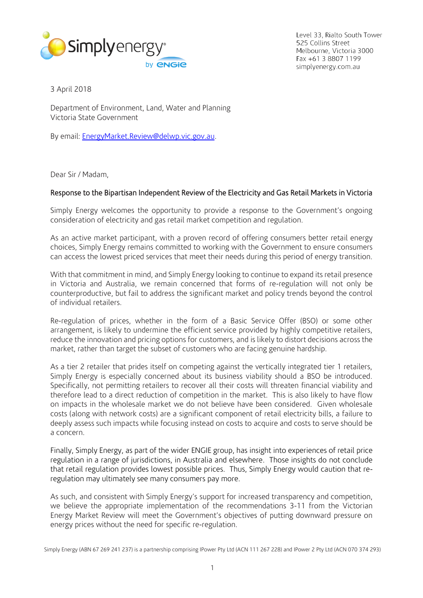

Level 33, Rialto South Tower 525 Collins Street Melbourne, Victoria 3000 Fax +61 3 8807 1199 simplyenergy.com.au

3 April 2018

Department of Environment, Land, Water and Planning Victoria State Government

By email: [EnergyMarket.Review@delwp.vic.gov.au.](mailto:EnergyMarket.Review@delwp.vic.gov.au)

Dear Sir / Madam,

### Response to the Bipartisan Independent Review of the Electricity and Gas Retail Markets in Victoria

Simply Energy welcomes the opportunity to provide a response to the Government's ongoing consideration of electricity and gas retail market competition and regulation.

As an active market participant, with a proven record of offering consumers better retail energy choices, Simply Energy remains committed to working with the Government to ensure consumers can access the lowest priced services that meet their needs during this period of energy transition.

With that commitment in mind, and Simply Energy looking to continue to expand its retail presence in Victoria and Australia, we remain concerned that forms of re-regulation will not only be counterproductive, but fail to address the significant market and policy trends beyond the control of individual retailers.

Re-regulation of prices, whether in the form of a Basic Service Offer (BSO) or some other arrangement, is likely to undermine the efficient service provided by highly competitive retailers, reduce the innovation and pricing options for customers, and is likely to distort decisions across the market, rather than target the subset of customers who are facing genuine hardship.

As a tier 2 retailer that prides itself on competing against the vertically integrated tier 1 retailers, Simply Energy is especially concerned about its business viability should a BSO be introduced. Specifically, not permitting retailers to recover all their costs will threaten financial viability and therefore lead to a direct reduction of competition in the market. This is also likely to have flow on impacts in the wholesale market we do not believe have been considered. Given wholesale costs (along with network costs) are a significant component of retail electricity bills, a failure to deeply assess such impacts while focusing instead on costs to acquire and costs to serve should be a concern.

Finally, Simply Energy, as part of the wider ENGIE group, has insight into experiences of retail price regulation in a range of jurisdictions, in Australia and elsewhere. Those insights do not conclude that retail regulation provides lowest possible prices. Thus, Simply Energy would caution that reregulation may ultimately see many consumers pay more.

As such, and consistent with Simply Energy's support for increased transparency and competition, we believe the appropriate implementation of the recommendations 3-11 from the Victorian Energy Market Review will meet the Government's objectives of putting downward pressure on energy prices without the need for specific re-regulation.

Simply Energy (ABN 67 269 241 237) is a partnership comprising IPower Pty Ltd (ACN 111 267 228) and IPower 2 Pty Ltd (ACN 070 374 293)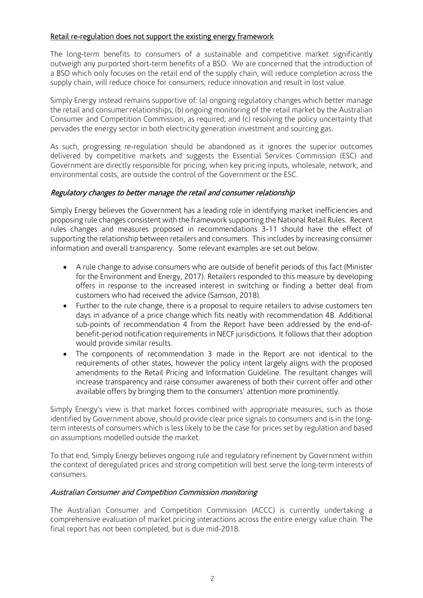# Retail re-regulation does not support the existing energy framework

The long-term benefits to consumers of a sustainable and competitive market significantly outweigh any purported short-term benefits of a BSO. We are concerned that the introduction of a BSO which only focuses on the retail end of the supply chain, will reduce completion across the supply chain, will reduce choice for consumers, reduce innovation and result in lost value.

Simply Energy instead remains supportive of: (a) ongoing regulatory changes which better manage the retail and consumer relationships; (b) ongoing monitoring of the retail market by the Australian Consumer and Competition Commission, as required; and (c) resolving the policy uncertainty that pervades the energy sector in both electricity generation investment and sourcing gas.

As such, progressing re-regulation should be abandoned as it ignores the superior outcomes delivered by competitive markets and suggests the Essential Services Commission (ESC) and Government are directly responsible for pricing, when key pricing inputs, wholesale, network, and environmental costs, are outside the control of the Government or the ESC.

## Regulatory changes to better manage the retail and consumer relationship

Simply Energy believes the Government has a leading role in identifying market inefficiencies and proposing rule changes consistent with the framework supporting the National Retail Rules. Recent rules changes and measures proposed in recommendations 3-11 should have the effect of supporting the relationship between retailers and consumers. This includes by increasing consumer information and overall transparency. Some relevant examples are set out below.

- A rule change to advise consumers who are outside of benefit periods of this fact (Minister for the Environment and Energy, 2017). Retailers responded to this measure by developing offers in response to the increased interest in switching or finding a better deal from customers who had received the advice (Samson, 2018).
- Further to the rule change, there is a proposal to require retailers to advise customers ten days in advance of a price change which fits neatly with recommendation 4B. Additional sub-points of recommendation 4 from the Report have been addressed by the end-ofbenefit-period notification requirements in NECF jurisdictions. It follows that their adoption would provide similar results.
- The components of recommendation 3 made in the Report are not identical to the requirements of other states, however the policy intent largely aligns with the proposed amendments to the Retail Pricing and Information Guideline. The resultant changes will increase transparency and raise consumer awareness of both their current offer and other available offers by bringing them to the consumers' attention more prominently.

Simply Energy's view is that market forces combined with appropriate measures, such as those identified by Government above, should provide clear price signals to consumers and is in the longterm interests of consumers which is less likely to be the case for prices set by regulation and based on assumptions modelled outside the market.

To that end, Simply Energy believes ongoing rule and regulatory refinement by Government within the context of deregulated prices and strong competition will best serve the long-term interests of consumers.

## Australian Consumer and Competition Commission monitoring

The Australian Consumer and Competition Commission (ACCC) is currently undertaking a comprehensive evaluation of market pricing interactions across the entire energy value chain. The final report has not been completed, but is due mid-2018.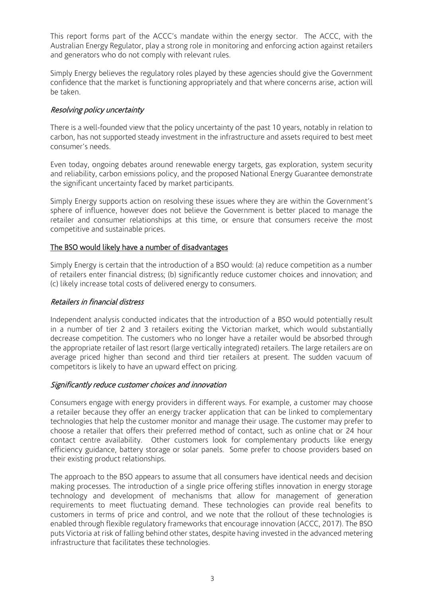This report forms part of the ACCC's mandate within the energy sector. The ACCC, with the Australian Energy Regulator, play a strong role in monitoring and enforcing action against retailers and generators who do not comply with relevant rules.

Simply Energy believes the regulatory roles played by these agencies should give the Government confidence that the market is functioning appropriately and that where concerns arise, action will be taken.

# Resolving policy uncertainty

There is a well-founded view that the policy uncertainty of the past 10 years, notably in relation to carbon, has not supported steady investment in the infrastructure and assets required to best meet consumer's needs.

Even today, ongoing debates around renewable energy targets, gas exploration, system security and reliability, carbon emissions policy, and the proposed National Energy Guarantee demonstrate the significant uncertainty faced by market participants.

Simply Energy supports action on resolving these issues where they are within the Government's sphere of influence, however does not believe the Government is better placed to manage the retailer and consumer relationships at this time, or ensure that consumers receive the most competitive and sustainable prices.

### The BSO would likely have a number of disadvantages

Simply Energy is certain that the introduction of a BSO would: (a) reduce competition as a number of retailers enter financial distress; (b) significantly reduce customer choices and innovation; and (c) likely increase total costs of delivered energy to consumers.

### Retailers in financial distress

Independent analysis conducted indicates that the introduction of a BSO would potentially result in a number of tier 2 and 3 retailers exiting the Victorian market, which would substantially decrease competition. The customers who no longer have a retailer would be absorbed through the appropriate retailer of last resort (large vertically integrated) retailers. The large retailers are on average priced higher than second and third tier retailers at present. The sudden vacuum of competitors is likely to have an upward effect on pricing.

## Significantly reduce customer choices and innovation

Consumers engage with energy providers in different ways. For example, a customer may choose a retailer because they offer an energy tracker application that can be linked to complementary technologies that help the customer monitor and manage their usage. The customer may prefer to choose a retailer that offers their preferred method of contact, such as online chat or 24 hour contact centre availability. Other customers look for complementary products like energy efficiency guidance, battery storage or solar panels. Some prefer to choose providers based on their existing product relationships.

The approach to the BSO appears to assume that all consumers have identical needs and decision making processes. The introduction of a single price offering stifles innovation in energy storage technology and development of mechanisms that allow for management of generation requirements to meet fluctuating demand. These technologies can provide real benefits to customers in terms of price and control, and we note that the rollout of these technologies is enabled through flexible regulatory frameworks that encourage innovation (ACCC, 2017). The BSO puts Victoria at risk of falling behind other states, despite having invested in the advanced metering infrastructure that facilitates these technologies.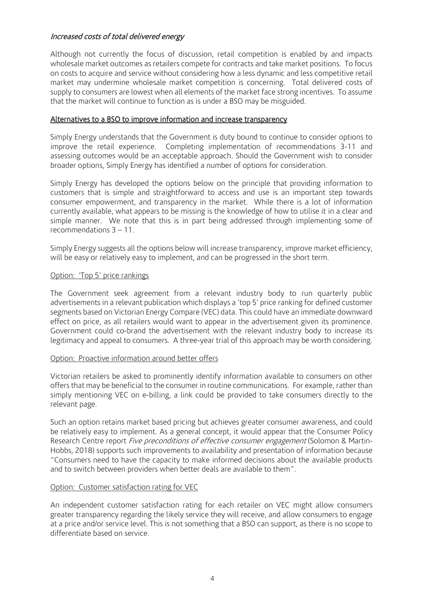# Increased costs of total delivered energy

Although not currently the focus of discussion, retail competition is enabled by and impacts wholesale market outcomes as retailers compete for contracts and take market positions. To focus on costs to acquire and service without considering how a less dynamic and less competitive retail market may undermine wholesale market competition is concerning. Total delivered costs of supply to consumers are lowest when all elements of the market face strong incentives. To assume that the market will continue to function as is under a BSO may be misguided.

### Alternatives to a BSO to improve information and increase transparency

Simply Energy understands that the Government is duty bound to continue to consider options to improve the retail experience. Completing implementation of recommendations 3-11 and assessing outcomes would be an acceptable approach. Should the Government wish to consider broader options, Simply Energy has identified a number of options for consideration.

Simply Energy has developed the options below on the principle that providing information to customers that is simple and straightforward to access and use is an important step towards consumer empowerment, and transparency in the market. While there is a lot of information currently available, what appears to be missing is the knowledge of how to utilise it in a clear and simple manner. We note that this is in part being addressed through implementing some of recommendations 3 – 11.

Simply Energy suggests all the options below will increase transparency, improve market efficiency, will be easy or relatively easy to implement, and can be progressed in the short term.

### Option: 'Top 5' price rankings

The Government seek agreement from a relevant industry body to run quarterly public advertisements in a relevant publication which displays a 'top 5' price ranking for defined customer segments based on Victorian Energy Compare (VEC) data. This could have an immediate downward effect on price, as all retailers would want to appear in the advertisement given its prominence. Government could co-brand the advertisement with the relevant industry body to increase its legitimacy and appeal to consumers. A three-year trial of this approach may be worth considering.

### Option: Proactive information around better offers

Victorian retailers be asked to prominently identify information available to consumers on other offers that may be beneficial to the consumer in routine communications. For example, rather than simply mentioning VEC on e-billing, a link could be provided to take consumers directly to the relevant page.

Such an option retains market based pricing but achieves greater consumer awareness, and could be relatively easy to implement. As a general concept, it would appear that the Consumer Policy Research Centre report Five preconditions of effective consumer engagement (Solomon & Martin-Hobbs, 2018) supports such improvements to availability and presentation of information because "Consumers need to have the capacity to make informed decisions about the available products and to switch between providers when better deals are available to them".

### Option: Customer satisfaction rating for VEC

An independent customer satisfaction rating for each retailer on VEC might allow consumers greater transparency regarding the likely service they will receive, and allow consumers to engage at a price and/or service level. This is not something that a BSO can support, as there is no scope to differentiate based on service.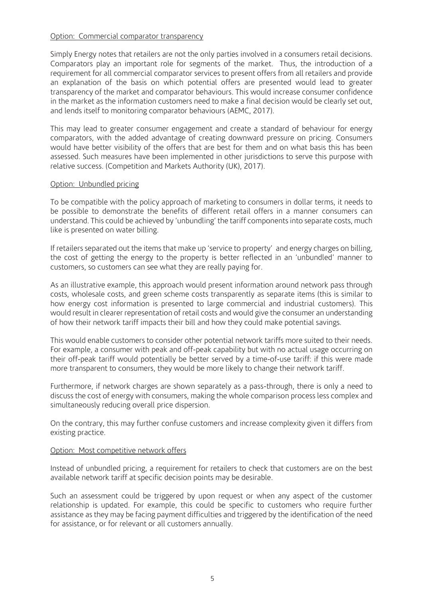### Option: Commercial comparator transparency

Simply Energy notes that retailers are not the only parties involved in a consumers retail decisions. Comparators play an important role for segments of the market. Thus, the introduction of a requirement for all commercial comparator services to present offers from all retailers and provide an explanation of the basis on which potential offers are presented would lead to greater transparency of the market and comparator behaviours. This would increase consumer confidence in the market as the information customers need to make a final decision would be clearly set out, and lends itself to monitoring comparator behaviours (AEMC, 2017).

This may lead to greater consumer engagement and create a standard of behaviour for energy comparators, with the added advantage of creating downward pressure on pricing. Consumers would have better visibility of the offers that are best for them and on what basis this has been assessed. Such measures have been implemented in other jurisdictions to serve this purpose with relative success. (Competition and Markets Authority (UK), 2017).

#### Option: Unbundled pricing

To be compatible with the policy approach of marketing to consumers in dollar terms, it needs to be possible to demonstrate the benefits of different retail offers in a manner consumers can understand. This could be achieved by 'unbundling' the tariff components into separate costs, much like is presented on water billing.

If retailers separated out the items that make up 'service to property' and energy charges on billing, the cost of getting the energy to the property is better reflected in an 'unbundled' manner to customers, so customers can see what they are really paying for.

As an illustrative example, this approach would present information around network pass through costs, wholesale costs, and green scheme costs transparently as separate items (this is similar to how energy cost information is presented to large commercial and industrial customers). This would result in clearer representation of retail costs and would give the consumer an understanding of how their network tariff impacts their bill and how they could make potential savings.

This would enable customers to consider other potential network tariffs more suited to their needs. For example, a consumer with peak and off-peak capability but with no actual usage occurring on their off-peak tariff would potentially be better served by a time-of-use tariff: if this were made more transparent to consumers, they would be more likely to change their network tariff.

Furthermore, if network charges are shown separately as a pass-through, there is only a need to discuss the cost of energy with consumers, making the whole comparison process less complex and simultaneously reducing overall price dispersion.

On the contrary, this may further confuse customers and increase complexity given it differs from existing practice.

### Option: Most competitive network offers

Instead of unbundled pricing, a requirement for retailers to check that customers are on the best available network tariff at specific decision points may be desirable.

Such an assessment could be triggered by upon request or when any aspect of the customer relationship is updated. For example, this could be specific to customers who require further assistance as they may be facing payment difficulties and triggered by the identification of the need for assistance, or for relevant or all customers annually.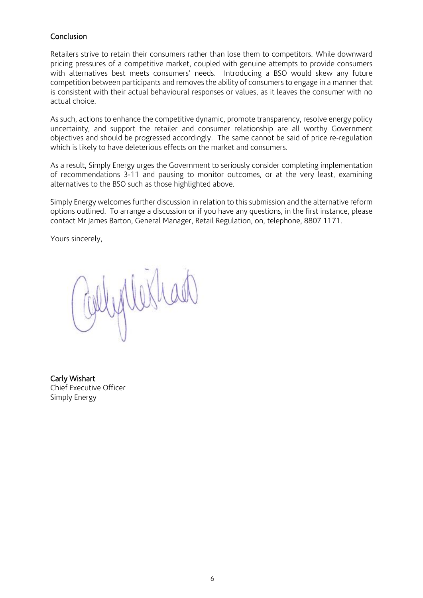## **Conclusion**

Retailers strive to retain their consumers rather than lose them to competitors. While downward pricing pressures of a competitive market, coupled with genuine attempts to provide consumers with alternatives best meets consumers' needs. Introducing a BSO would skew any future competition between participants and removes the ability of consumers to engage in a manner that is consistent with their actual behavioural responses or values, as it leaves the consumer with no actual choice.

As such, actions to enhance the competitive dynamic, promote transparency, resolve energy policy uncertainty, and support the retailer and consumer relationship are all worthy Government objectives and should be progressed accordingly. The same cannot be said of price re-regulation which is likely to have deleterious effects on the market and consumers.

As a result, Simply Energy urges the Government to seriously consider completing implementation of recommendations 3-11 and pausing to monitor outcomes, or at the very least, examining alternatives to the BSO such as those highlighted above.

Simply Energy welcomes further discussion in relation to this submission and the alternative reform options outlined. To arrange a discussion or if you have any questions, in the first instance, please contact Mr James Barton, General Manager, Retail Regulation, on, telephone, 8807 1171.

Yours sincerely,

Carly Wishart Chief Executive Officer Simply Energy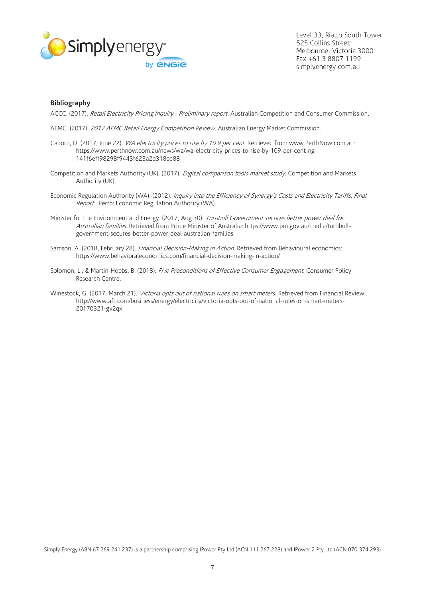

Level 33, Rialto South Tower 525 Collins Street Melbourne, Victoria 3000 Fax +61 3 8807 1199 simplyenergy.com.au

#### **Bibliography**

ACCC. (2017). Retail Electricity Pricing Inquiry - Preliminary report. Australian Competition and Consumer Commission.

- AEMC. (2017). 2017 AEMC Retail Energy Competition Review. Australian Energy Market Commission.
- Caporn, D. (2017, June 22). WA electricity prices to rise by 10.9 per cent. Retrieved from www.PerthNow.com.au: https://www.perthnow.com.au/news/wa/wa-electricity-prices-to-rise-by-109-per-cent-ng-141f6eff98298f9443f623a2d318cd88
- Competition and Markets Authority (UK). (2017). Digital comparison tools market study. Competition and Markets Authority (UK).
- Economic Regulation Authority (WA). (2012). Inquiry into the Efficiency of Synergy's Costs and Electricity Tariffs: Final Report . Perth: Economic Regulation Authority (WA).
- Minister for the Environment and Energy. (2017, Aug 30). Turnbull Government secures better power deal for Australian families. Retrieved from Prime Minister of Australia: https://www.pm.gov.au/media/turnbullgovernment-secures-better-power-deal-australian-families
- Samson, A. (2018, February 28). Financial Decision-Making in Action. Retrieved from Behavioural economics: https://www.behavioraleconomics.com/financial-decision-making-in-action/
- Solomon, L., & Martin-Hobbs, B. (2018). Five Preconditions of Effective Consumer Engagement. Consumer Policy Research Centre.
- Winestock, G. (2017, March 21). Victoria opts out of national rules on smart meters. Retrieved from Financial Review: http://www.afr.com/business/energy/electricity/victoria-opts-out-of-national-rules-on-smart-meters-20170321-gv2qxi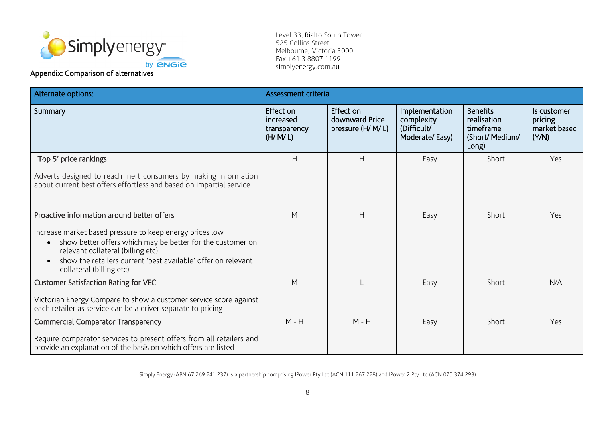

### Appendix: Comparison of alternatives

Level 33, Rialto South Tower 525 Collins Street Melbourne, Victoria 3000 Fax +61 3 8807 1199 simplyenergy.com.au

| Alternate options:                                                                                                                                                                                                                                                                                                  | Assessment criteria                               |                                                   |                                                               |                                                                         |                                                 |  |
|---------------------------------------------------------------------------------------------------------------------------------------------------------------------------------------------------------------------------------------------------------------------------------------------------------------------|---------------------------------------------------|---------------------------------------------------|---------------------------------------------------------------|-------------------------------------------------------------------------|-------------------------------------------------|--|
| Summary                                                                                                                                                                                                                                                                                                             | Effect on<br>increased<br>transparency<br>(H/M/L) | Effect on<br>downward Price<br>pressure (H/ M/ L) | Implementation<br>complexity<br>(Difficult/<br>Moderate/Easy) | <b>Benefits</b><br>realisation<br>timeframe<br>(Short/ Medium/<br>Long) | Is customer<br>pricing<br>market based<br>(Y/N) |  |
| 'Top 5' price rankings<br>Adverts designed to reach inert consumers by making information<br>about current best offers effortless and based on impartial service                                                                                                                                                    | H                                                 | H                                                 | Easy                                                          | Short                                                                   | Yes                                             |  |
| Proactive information around better offers<br>Increase market based pressure to keep energy prices low<br>show better offers which may be better for the customer on<br>$\bullet$<br>relevant collateral (billing etc)<br>show the retailers current 'best available' offer on relevant<br>collateral (billing etc) | M                                                 | H                                                 | Easy                                                          | Short                                                                   | Yes                                             |  |
| <b>Customer Satisfaction Rating for VEC</b><br>Victorian Energy Compare to show a customer service score against<br>each retailer as service can be a driver separate to pricing                                                                                                                                    | M                                                 |                                                   | Easy                                                          | Short                                                                   | N/A                                             |  |
| Commercial Comparator Transparency<br>Require comparator services to present offers from all retailers and<br>provide an explanation of the basis on which offers are listed                                                                                                                                        | $M - H$                                           | $M - H$                                           | Easy                                                          | Short                                                                   | Yes                                             |  |

Simply Energy (ABN 67 269 241 237) is a partnership comprising IPower Pty Ltd (ACN 111 267 228) and IPower 2 Pty Ltd (ACN 070 374 293)